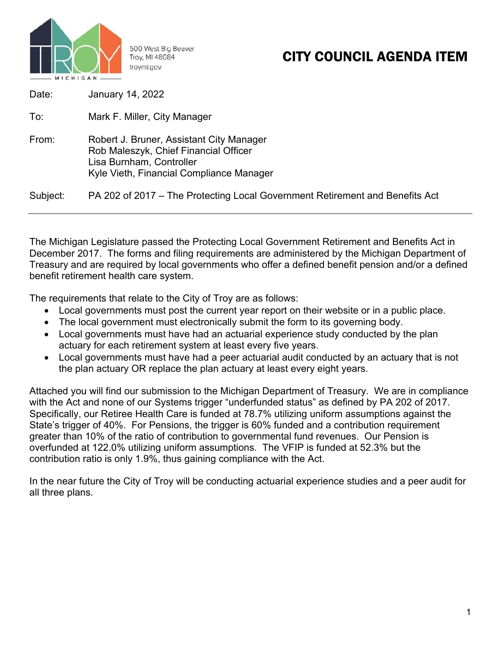

500 West Big Beaver Troy, MI 48084 troymi.gov

## CITY COUNCIL AGENDA ITEM

| Date:    | January 14, 2022                                                                                                                                          |
|----------|-----------------------------------------------------------------------------------------------------------------------------------------------------------|
| To:      | Mark F. Miller, City Manager                                                                                                                              |
| From:    | Robert J. Bruner, Assistant City Manager<br>Rob Maleszyk, Chief Financial Officer<br>Lisa Burnham, Controller<br>Kyle Vieth, Financial Compliance Manager |
| Subject: | PA 202 of 2017 – The Protecting Local Government Retirement and Benefits Act                                                                              |

The Michigan Legislature passed the Protecting Local Government Retirement and Benefits Act in December 2017. The forms and filing requirements are administered by the Michigan Department of Treasury and are required by local governments who offer a defined benefit pension and/or a defined benefit retirement health care system.

The requirements that relate to the City of Troy are as follows:

- Local governments must post the current year report on their website or in a public place.
- The local government must electronically submit the form to its governing body.
- Local governments must have had an actuarial experience study conducted by the plan actuary for each retirement system at least every five years.
- Local governments must have had a peer actuarial audit conducted by an actuary that is not the plan actuary OR replace the plan actuary at least every eight years.

Attached you will find our submission to the Michigan Department of Treasury. We are in compliance with the Act and none of our Systems trigger "underfunded status" as defined by PA 202 of 2017. Specifically, our Retiree Health Care is funded at 78.7% utilizing uniform assumptions against the State's trigger of 40%. For Pensions, the trigger is 60% funded and a contribution requirement greater than 10% of the ratio of contribution to governmental fund revenues. Our Pension is overfunded at 122.0% utilizing uniform assumptions. The VFIP is funded at 52.3% but the contribution ratio is only 1.9%, thus gaining compliance with the Act.

In the near future the City of Troy will be conducting actuarial experience studies and a peer audit for all three plans.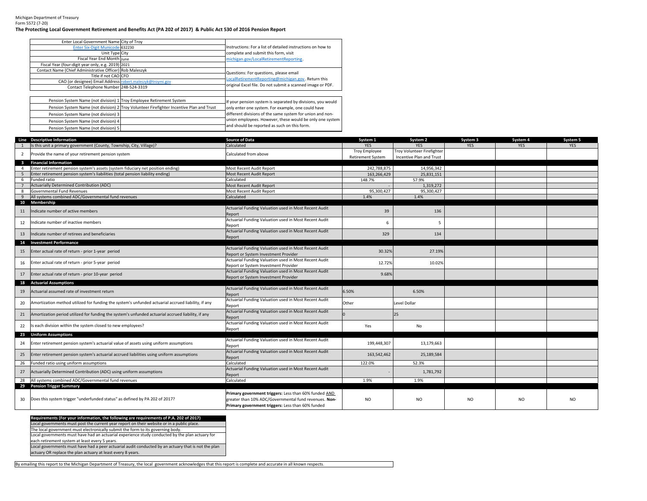Michigan Department of Treasury Form 5572 (7‐20)

## **The Protecting Local Government Retirement and Benefits Act (PA 202 of 2017) & Public Act 530 of 2016 Pension Report**

| Enter Local Government Name City of Troy                             |                                                                                          |                                                             |
|----------------------------------------------------------------------|------------------------------------------------------------------------------------------|-------------------------------------------------------------|
| Enter Six-Digit Municode 632230                                      |                                                                                          | Instructions: For a list of detailed instructions on how to |
| Unit Type City                                                       |                                                                                          | complete and submit this form, visit                        |
| Fiscal Year End Month June                                           |                                                                                          | michigan.gov/LocalRetirementReporting.                      |
| Fiscal Year (four-digit year only, e.g. 2019) 2021                   |                                                                                          |                                                             |
| Contact Name (Chief Administrative Officer) Rob Maleszyk             |                                                                                          | Questions: For questions, please email                      |
| Title if not CAO CFO                                                 |                                                                                          | LocalRetirementReporting@michigan.gov. Return this          |
| CAO (or designee) Email Address robert.maleszyk@troymi.gov           |                                                                                          |                                                             |
| Contact Telephone Number 248-524-3319                                |                                                                                          | original Excel file. Do not submit a scanned image or PDF.  |
|                                                                      |                                                                                          |                                                             |
| Pension System Name (not division) 1 Troy Employee Retirement System |                                                                                          | If your pension system is separated by divisions, you would |
|                                                                      | Pension System Name (not division) 2 Troy Volunteer Firefighter Incentive Plan and Trust | only enter one system. For example, one could have          |
| Pension System Name (not division) 3                                 |                                                                                          | different divisions of the same system for union and non-   |
| Pension System Name (not division) 4                                 |                                                                                          | union employees. However, these would be only one system    |
| Pension System Name (not division) 5                                 |                                                                                          | and should be reported as such on this form.                |

|                         | Line Descriptive Information                                                                       | <b>Source of Data</b>                                           | System 1                 | System 2                   | System 3       | System 4       | System 5   |
|-------------------------|----------------------------------------------------------------------------------------------------|-----------------------------------------------------------------|--------------------------|----------------------------|----------------|----------------|------------|
|                         | Is this unit a primary government (County, Township, City, Village)?                               | Calculated                                                      | <b>YES</b>               | <b>YES</b>                 | <b>YES</b>     | <b>YES</b>     | <b>YES</b> |
| $\overline{2}$          | Provide the name of your retirement pension system                                                 | Calculated from above                                           | <b>Troy Employee</b>     | Troy Volunteer Firefighter |                |                |            |
|                         |                                                                                                    |                                                                 | <b>Retirement System</b> | Incentive Plan and Trust   |                |                |            |
| $\overline{\mathbf{3}}$ | <b>Financial Information</b>                                                                       |                                                                 |                          |                            |                |                |            |
|                         | Enter retirement pension system's assets (system fiduciary net position ending)                    | Most Recent Audit Report                                        | 242.788.875              | 14.956.342                 |                |                |            |
|                         | Enter retirement pension system's liabilities (total pension liability ending)                     | Most Recent Audit Report                                        | 163,266,429              | 25,831,151                 |                |                |            |
| -6                      | Funded ratio                                                                                       | Calculated                                                      | 148.7%                   | 57.9%                      |                |                |            |
|                         | Actuarially Determined Contribution (ADC)                                                          | Most Recent Audit Report                                        |                          | 1,319,272                  |                |                |            |
| 8                       | Governmental Fund Revenues                                                                         | Most Recent Audit Report                                        | 95,300,427               | 95,300,427                 |                |                |            |
| 9                       | All systems combined ADC/Governmental fund revenues                                                | Calculated                                                      | 1.4%                     | 1.4%                       |                |                |            |
|                         | 10 Membership                                                                                      |                                                                 |                          |                            |                |                |            |
| 11                      | Indicate number of active members                                                                  | Actuarial Funding Valuation used in Most Recent Audit<br>Report | 39                       | 136                        |                |                |            |
|                         |                                                                                                    | Actuarial Funding Valuation used in Most Recent Audit           |                          |                            |                |                |            |
| 12                      | Indicate number of inactive members                                                                | Report                                                          | 6                        | 5                          |                |                |            |
|                         | ndicate number of retirees and beneficiaries                                                       | Actuarial Funding Valuation used in Most Recent Audit           |                          |                            |                |                |            |
| 13                      |                                                                                                    | Report                                                          | 329                      | 134                        |                |                |            |
| 14                      | <b>Investment Performance</b>                                                                      |                                                                 |                          |                            |                |                |            |
|                         | Enter actual rate of return - prior 1-year period                                                  | Actuarial Funding Valuation used in Most Recent Audit           |                          | 27.19%                     |                |                |            |
| 15                      |                                                                                                    | Report or System Investment Provider                            | 30.32%                   |                            |                |                |            |
|                         | Enter actual rate of return - prior 5-year period                                                  | Actuarial Funding Valuation used in Most Recent Audit           | 12.72%                   | 10.02%                     |                |                |            |
| 16                      |                                                                                                    | Report or System Investment Provider                            |                          |                            |                |                |            |
| 17                      | Enter actual rate of return - prior 10-year period                                                 | Actuarial Funding Valuation used in Most Recent Audit           | 9.68%                    |                            |                |                |            |
|                         |                                                                                                    | Report or System Investment Provider                            |                          |                            |                |                |            |
| 18                      | <b>Actuarial Assumptions</b>                                                                       |                                                                 |                          |                            |                |                |            |
| 19                      | Actuarial assumed rate of investment return                                                        | Actuarial Funding Valuation used in Most Recent Audit           | 6.50%                    | 6.50%                      |                |                |            |
|                         |                                                                                                    | Report                                                          |                          |                            |                |                |            |
| 20                      | Amortization method utilized for funding the system's unfunded actuarial accrued liability, if any | Actuarial Funding Valuation used in Most Recent Audit           | Other                    | Level Dollar               |                |                |            |
|                         |                                                                                                    | Report                                                          |                          |                            |                |                |            |
| 21                      | Amortization period utilized for funding the system's unfunded actuarial accrued liability, if any | Actuarial Funding Valuation used in Most Recent Audit           |                          | 25                         |                |                |            |
|                         |                                                                                                    | Report                                                          |                          |                            |                |                |            |
| 22                      | Is each division within the system closed to new employees?                                        | Actuarial Funding Valuation used in Most Recent Audit           | Yes                      | No                         |                |                |            |
|                         |                                                                                                    | Report                                                          |                          |                            |                |                |            |
|                         | 23 Uniform Assumptions                                                                             |                                                                 |                          |                            |                |                |            |
| 24                      | Enter retirement pension system's actuarial value of assets using uniform assumptions              | Actuarial Funding Valuation used in Most Recent Audit           | 199,448,307              | 13,179,663                 |                |                |            |
|                         |                                                                                                    | Report                                                          |                          |                            |                |                |            |
| 25                      | Enter retirement pension system's actuarial accrued liabilities using uniform assumptions          | Actuarial Funding Valuation used in Most Recent Audit           | 163,542,462              | 25,189,584                 |                |                |            |
|                         |                                                                                                    | Report                                                          |                          |                            |                |                |            |
| 26                      | Funded ratio using uniform assumptions                                                             | Calculated                                                      | 122.0%                   | 52.3%                      |                |                |            |
| 27                      | Actuarially Determined Contribution (ADC) using uniform assumptions                                | Actuarial Funding Valuation used in Most Recent Audit           |                          | 1,781,792                  |                |                |            |
|                         |                                                                                                    | Report                                                          |                          |                            |                |                |            |
| 28                      | All systems combined ADC/Governmental fund revenues                                                | Calculated                                                      | 1.9%                     | 1.9%                       |                |                |            |
|                         | 29 Pension Trigger Summary                                                                         |                                                                 |                          |                            |                |                |            |
|                         |                                                                                                    | Primary government triggers: Less than 60% funded AND           |                          |                            |                |                |            |
| 30                      | Does this system trigger "underfunded status" as defined by PA 202 of 2017?                        | greater than 10% ADC/Governmental fund revenues. Non-           | <b>NO</b>                | N <sub>O</sub>             | N <sub>O</sub> | N <sub>O</sub> | NO.        |
|                         |                                                                                                    | Primary government triggers: Less than 60% funded               |                          |                            |                |                |            |

**Requirements (For your information, the following are requirements of P.A. 202 of 2017)** Local governments must post the current year report on their website or in a public place. The local government must electronically submit the form to its governing body.

Local governments must have had an actuarial experience study conducted by the plan actuary for

each retirement system at least every 5 years.

Local governments must have had a peer actuarial audit conducted by an actuary that is not the plan

actuary OR replace the plan actuary at least every 8 years.

By emailing this report to the Michigan Department of Treasury, the local government acknowledges that this report is complete and accurate in all known respects.